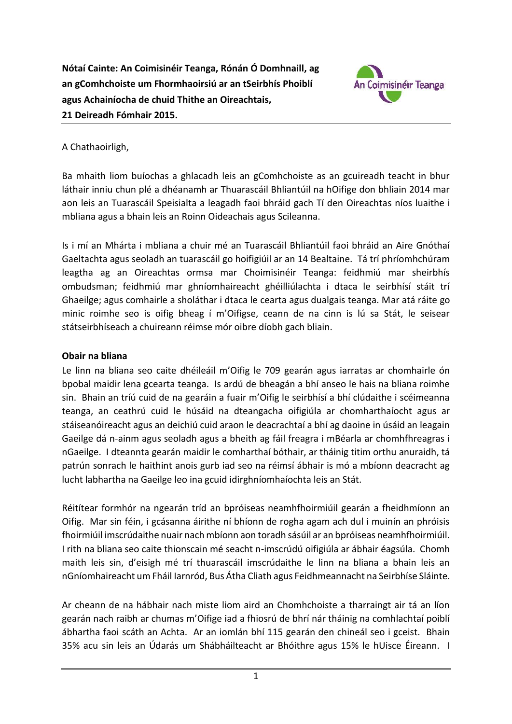

### A Chathaoirligh,

Ba mhaith liom buíochas a ghlacadh leis an gComhchoiste as an gcuireadh teacht in bhur láthair inniu chun plé a dhéanamh ar Thuarascáil Bhliantúil na hOifige don bhliain 2014 mar aon leis an Tuarascáil Speisialta a leagadh faoi bhráid gach Tí den Oireachtas níos luaithe i mbliana agus a bhain leis an Roinn Oideachais agus Scileanna.

Is i mí an Mhárta i mbliana a chuir mé an Tuarascáil Bhliantúil faoi bhráid an Aire Gnóthaí Gaeltachta agus seoladh an tuarascáil go hoifigiúil ar an 14 Bealtaine. Tá trí phríomhchúram leagtha ag an Oireachtas ormsa mar Choimisinéir Teanga: feidhmiú mar sheirbhís ombudsman; feidhmiú mar ghníomhaireacht ghéilliúlachta i dtaca le seirbhísí stáit trí Ghaeilge; agus comhairle a sholáthar i dtaca le cearta agus dualgais teanga. Mar atá ráite go minic roimhe seo is oifig bheag í m'Oifigse, ceann de na cinn is lú sa Stát, le seisear státseirbhíseach a chuireann réimse mór oibre díobh gach bliain.

#### **Obair na bliana**

Le linn na bliana seo caite dhéileáil m'Oifig le 709 gearán agus iarratas ar chomhairle ón bpobal maidir lena gcearta teanga. Is ardú de bheagán a bhí anseo le hais na bliana roimhe sin. Bhain an tríú cuid de na gearáin a fuair m'Oifig le seirbhísí a bhí clúdaithe i scéimeanna teanga, an ceathrú cuid le húsáid na dteangacha oifigiúla ar chomharthaíocht agus ar stáiseanóireacht agus an deichiú cuid araon le deacrachtaí a bhí ag daoine in úsáid an leagain Gaeilge dá n-ainm agus seoladh agus a bheith ag fáil freagra i mBéarla ar chomhfhreagras i nGaeilge. I dteannta gearán maidir le comharthaí bóthair, ar tháinig titim orthu anuraidh, tá patrún sonrach le haithint anois gurb iad seo na réimsí ábhair is mó a mbíonn deacracht ag lucht labhartha na Gaeilge leo ina gcuid idirghníomhaíochta leis an Stát.

Réitítear formhór na ngearán tríd an bpróiseas neamhfhoirmiúil gearán a fheidhmíonn an Oifig. Mar sin féin, i gcásanna áirithe ní bhíonn de rogha agam ach dul i muinín an phróisis fhoirmiúil imscrúdaithe nuair nach mbíonn aon toradh sásúil ar an bpróiseas neamhfhoirmiúil. I rith na bliana seo caite thionscain mé seacht n-imscrúdú oifigiúla ar ábhair éagsúla. Chomh maith leis sin, d'eisigh mé trí thuarascáil imscrúdaithe le linn na bliana a bhain leis an nGníomhaireacht um Fháil Iarnród, Bus Átha Cliath agus Feidhmeannacht na Seirbhíse Sláinte.

Ar cheann de na hábhair nach miste liom aird an Chomhchoiste a tharraingt air tá an líon gearán nach raibh ar chumas m'Oifige iad a fhiosrú de bhrí nár tháinig na comhlachtaí poiblí ábhartha faoi scáth an Achta. Ar an iomlán bhí 115 gearán den chineál seo i gceist. Bhain 35% acu sin leis an Údarás um Shábháilteacht ar Bhóithre agus 15% le hUisce Éireann. I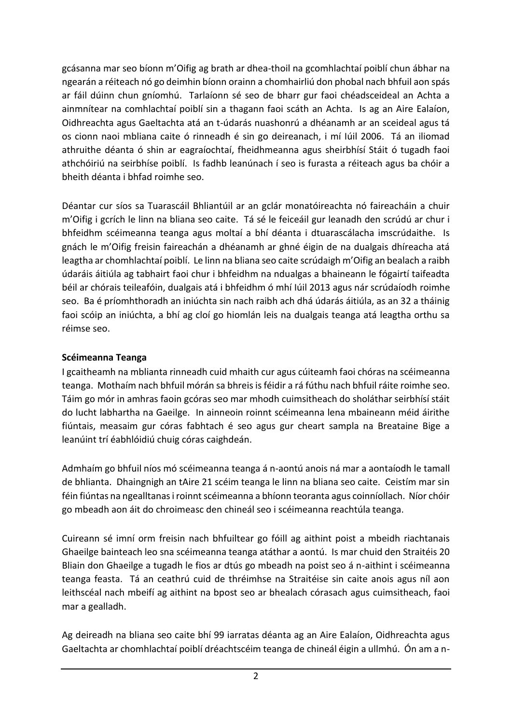gcásanna mar seo bíonn m'Oifig ag brath ar dhea-thoil na gcomhlachtaí poiblí chun ábhar na ngearán a réiteach nó go deimhin bíonn orainn a chomhairliú don phobal nach bhfuil aon spás ar fáil dúinn chun gníomhú. Tarlaíonn sé seo de bharr gur faoi chéadsceideal an Achta a ainmnítear na comhlachtaí poiblí sin a thagann faoi scáth an Achta. Is ag an Aire Ealaíon, Oidhreachta agus Gaeltachta atá an t-údarás nuashonrú a dhéanamh ar an sceideal agus tá os cionn naoi mbliana caite ó rinneadh é sin go deireanach, i mí Iúil 2006. Tá an iliomad athruithe déanta ó shin ar eagraíochtaí, fheidhmeanna agus sheirbhísí Stáit ó tugadh faoi athchóiriú na seirbhíse poiblí. Is fadhb leanúnach í seo is furasta a réiteach agus ba chóir a bheith déanta i bhfad roimhe seo.

Déantar cur síos sa Tuarascáil Bhliantúil ar an gclár monatóireachta nó faireacháin a chuir m'Oifig i gcrích le linn na bliana seo caite. Tá sé le feiceáil gur leanadh den scrúdú ar chur i bhfeidhm scéimeanna teanga agus moltaí a bhí déanta i dtuarascálacha imscrúdaithe. Is gnách le m'Oifig freisin faireachán a dhéanamh ar ghné éigin de na dualgais dhíreacha atá leagtha ar chomhlachtaí poiblí. Le linn na bliana seo caite scrúdaigh m'Oifig an bealach a raibh údaráis áitiúla ag tabhairt faoi chur i bhfeidhm na ndualgas a bhaineann le fógairtí taifeadta béil ar chórais teileafóin, dualgais atá i bhfeidhm ó mhí Iúil 2013 agus nár scrúdaíodh roimhe seo. Ba é príomhthoradh an iniúchta sin nach raibh ach dhá údarás áitiúla, as an 32 a tháinig faoi scóip an iniúchta, a bhí ag cloí go hiomlán leis na dualgais teanga atá leagtha orthu sa réimse seo.

### **Scéimeanna Teanga**

I gcaitheamh na mblianta rinneadh cuid mhaith cur agus cúiteamh faoi chóras na scéimeanna teanga. Mothaím nach bhfuil mórán sa bhreis is féidir a rá fúthu nach bhfuil ráite roimhe seo. Táim go mór in amhras faoin gcóras seo mar mhodh cuimsitheach do sholáthar seirbhísí stáit do lucht labhartha na Gaeilge. In ainneoin roinnt scéimeanna lena mbaineann méid áirithe fiúntais, measaim gur córas fabhtach é seo agus gur cheart sampla na Breataine Bige a leanúint trí éabhlóidiú chuig córas caighdeán.

Admhaím go bhfuil níos mó scéimeanna teanga á n-aontú anois ná mar a aontaíodh le tamall de bhlianta. Dhaingnigh an tAire 21 scéim teanga le linn na bliana seo caite. Ceistím mar sin féin fiúntas na ngealltanas i roinnt scéimeanna a bhíonn teoranta agus coinníollach. Níor chóir go mbeadh aon áit do chroimeasc den chineál seo i scéimeanna reachtúla teanga.

Cuireann sé imní orm freisin nach bhfuiltear go fóill ag aithint poist a mbeidh riachtanais Ghaeilge bainteach leo sna scéimeanna teanga atáthar a aontú. Is mar chuid den Straitéis 20 Bliain don Ghaeilge a tugadh le fios ar dtús go mbeadh na poist seo á n-aithint i scéimeanna teanga feasta. Tá an ceathrú cuid de thréimhse na Straitéise sin caite anois agus níl aon leithscéal nach mbeifí ag aithint na bpost seo ar bhealach córasach agus cuimsitheach, faoi mar a gealladh.

Ag deireadh na bliana seo caite bhí 99 iarratas déanta ag an Aire Ealaíon, Oidhreachta agus Gaeltachta ar chomhlachtaí poiblí dréachtscéim teanga de chineál éigin a ullmhú. Ón am a n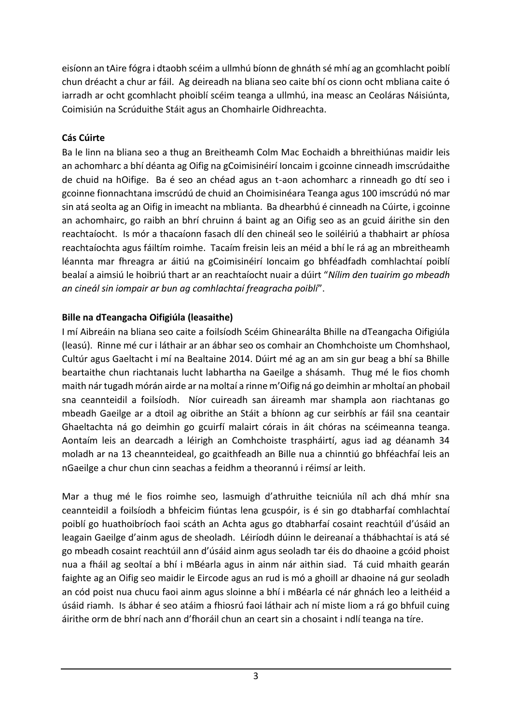eisíonn an tAire fógra i dtaobh scéim a ullmhú bíonn de ghnáth sé mhí ag an gcomhlacht poiblí chun dréacht a chur ar fáil. Ag deireadh na bliana seo caite bhí os cionn ocht mbliana caite ó iarradh ar ocht gcomhlacht phoiblí scéim teanga a ullmhú, ina measc an Ceoláras Náisiúnta, Coimisiún na Scrúduithe Stáit agus an Chomhairle Oidhreachta.

# **Cás Cúirte**

Ba le linn na bliana seo a thug an Breitheamh Colm Mac Eochaidh a bhreithiúnas maidir leis an achomharc a bhí déanta ag Oifig na gCoimisinéirí Ioncaim i gcoinne cinneadh imscrúdaithe de chuid na hOifige. Ba é seo an chéad agus an t-aon achomharc a rinneadh go dtí seo i gcoinne fionnachtana imscrúdú de chuid an Choimisinéara Teanga agus 100 imscrúdú nó mar sin atá seolta ag an Oifig in imeacht na mblianta. Ba dhearbhú é cinneadh na Cúirte, i gcoinne an achomhairc, go raibh an bhrí chruinn á baint ag an Oifig seo as an gcuid áirithe sin den reachtaíocht. Is mór a thacaíonn fasach dlí den chineál seo le soiléiriú a thabhairt ar phíosa reachtaíochta agus fáiltím roimhe. Tacaím freisin leis an méid a bhí le rá ag an mbreitheamh léannta mar fhreagra ar áitiú na gCoimisinéirí Ioncaim go bhféadfadh comhlachtaí poiblí bealaí a aimsiú le hoibriú thart ar an reachtaíocht nuair a dúirt "*Nílim den tuairim go mbeadh an cineál sin iompair ar bun ag comhlachtaí freagracha poiblí*".

## **Bille na dTeangacha Oifigiúla (leasaithe)**

I mí Aibreáin na bliana seo caite a foilsíodh Scéim Ghinearálta Bhille na dTeangacha Oifigiúla (leasú). Rinne mé cur i láthair ar an ábhar seo os comhair an Chomhchoiste um Chomhshaol, Cultúr agus Gaeltacht i mí na Bealtaine 2014. Dúirt mé ag an am sin gur beag a bhí sa Bhille beartaithe chun riachtanais lucht labhartha na Gaeilge a shásamh. Thug mé le fios chomh maith nár tugadh mórán airde ar na moltaí a rinne m'Oifig ná go deimhin ar mholtaí an phobail sna ceannteidil a foilsíodh. Níor cuireadh san áireamh mar shampla aon riachtanas go mbeadh Gaeilge ar a dtoil ag oibrithe an Stáit a bhíonn ag cur seirbhís ar fáil sna ceantair Ghaeltachta ná go deimhin go gcuirfí malairt córais in áit chóras na scéimeanna teanga. Aontaím leis an dearcadh a léirigh an Comhchoiste traspháirtí, agus iad ag déanamh 34 moladh ar na 13 cheannteideal, go gcaithfeadh an Bille nua a chinntiú go bhféachfaí leis an nGaeilge a chur chun cinn seachas a feidhm a theorannú i réimsí ar leith.

Mar a thug mé le fios roimhe seo, lasmuigh d'athruithe teicniúla níl ach dhá mhír sna ceannteidil a foilsíodh a bhfeicim fiúntas lena gcuspóir, is é sin go dtabharfaí comhlachtaí poiblí go huathoibríoch faoi scáth an Achta agus go dtabharfaí cosaint reachtúil d'úsáid an leagain Gaeilge d'ainm agus de sheoladh. Léiríodh dúinn le deireanaí a thábhachtaí is atá sé go mbeadh cosaint reachtúil ann d'úsáid ainm agus seoladh tar éis do dhaoine a gcóid phoist nua a fháil ag seoltaí a bhí i mBéarla agus in ainm nár aithin siad. Tá cuid mhaith gearán faighte ag an Oifig seo maidir le Eircode agus an rud is mó a ghoill ar dhaoine ná gur seoladh an cód poist nua chucu faoi ainm agus sloinne a bhí i mBéarla cé nár ghnách leo a leithéid a úsáid riamh. Is ábhar é seo atáim a fhiosrú faoi láthair ach ní miste liom a rá go bhfuil cuing áirithe orm de bhrí nach ann d'fhoráil chun an ceart sin a chosaint i ndlí teanga na tíre.